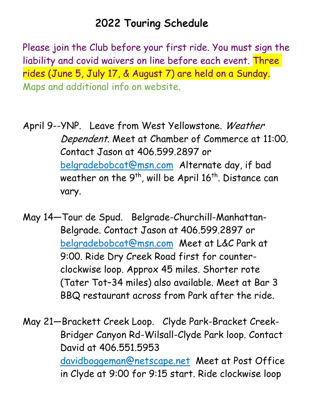## 2022 Touring Schedule

Please join the Club before your first ride. You must sign the liability and covid waivers on line before each event. Three rides (June 5, July 17, & August 7) are held on a Sunday. Maps and additional info on website.

April 9--YNP. Leave from West Yellowstone. Weather Dependent. Meet at Chamber of Commerce at 11:00. Contact Jason at 406.599.2897 or belgradebobcat@msn.com Alternate day, if bad weather on the  $9<sup>th</sup>$ , will be April 16<sup>th</sup>. Distance can vary.

May 14—Tour de Spud. Belgrade-Churchill-Manhattan-Belgrade. Contact Jason at 406.599.2897 or belgradebobcat@msn.com Meet at L&C Park at 9:00. Ride Dry Creek Road first for counterclockwise loop. Approx 45 miles. Shorter rote (Tater Tot–34 miles) also available. Meet at Bar 3 BBQ restaurant across from Park after the ride.

May 21—Brackett Creek Loop. Clyde Park-Bracket Creek-Bridger Canyon Rd-Wilsall-Clyde Park loop. Contact David at 406.551.5953 davidboggeman@netscape.net Meet at Post Office in Clyde at 9:00 for 9:15 start. Ride clockwise loop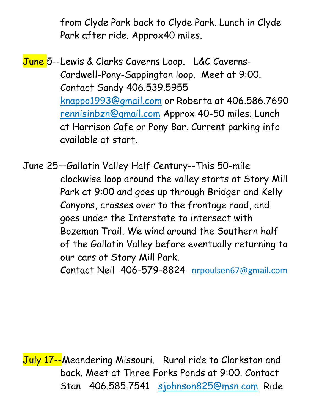from Clyde Park back to Clyde Park. Lunch in Clyde Park after ride. Approx40 miles.

June 5--Lewis & Clarks Caverns Loop. L&C Caverns-Cardwell-Pony-Sappington loop. Meet at 9:00. Contact Sandy 406.539.5955 knappo1993@gmail.com or Roberta at 406.586.7690 rennisinbzn@gmail.com Approx 40-50 miles. Lunch at Harrison Cafe or Pony Bar. Current parking info available at start.

June 25—Gallatin Valley Half Century--This 50-mile clockwise loop around the valley starts at Story Mill Park at 9:00 and goes up through Bridger and Kelly Canyons, crosses over to the frontage road, and goes under the Interstate to intersect with Bozeman Trail. We wind around the Southern half of the Gallatin Valley before eventually returning to our cars at Story Mill Park. Contact Neil 406-579-8824 nrpoulsen67@gmail.com

July 17--Meandering Missouri. Rural ride to Clarkston and back. Meet at Three Forks Ponds at 9:00. Contact Stan 406.585.7541 sjohnson825@msn.com Ride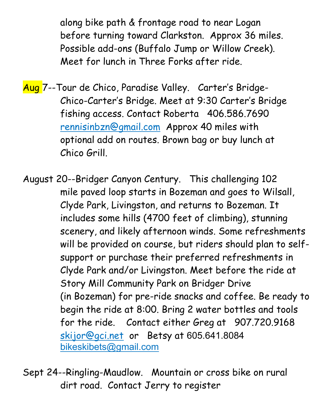along bike path & frontage road to near Logan before turning toward Clarkston. Approx 36 miles. Possible add-ons (Buffalo Jump or Willow Creek). Meet for lunch in Three Forks after ride.

Aug 7--Tour de Chico, Paradise Valley. Carter's Bridge-Chico-Carter's Bridge. Meet at 9:30 Carter's Bridge fishing access. Contact Roberta 406.586.7690 rennisinbzn@gmail.com Approx 40 miles with optional add on routes. Brown bag or buy lunch at Chico Grill.

August 20--Bridger Canyon Century. This challenging 102 mile paved loop starts in Bozeman and goes to Wilsall, Clyde Park, Livingston, and returns to Bozeman. It includes some hills (4700 feet of climbing), stunning scenery, and likely afternoon winds. Some refreshments will be provided on course, but riders should plan to selfsupport or purchase their preferred refreshments in Clyde Park and/or Livingston. Meet before the ride at Story Mill Community Park on Bridger Drive (in Bozeman) for pre-ride snacks and coffee. Be ready to begin the ride at 8:00. Bring 2 water bottles and tools for the ride. Contact either Greg at 907.720.9168 skijor@gci.net or Betsy at 605.641.8084 bikeskibets@gmail.com

Sept 24--Ringling-Maudlow. Mountain or cross bike on rural dirt road. Contact Jerry to register